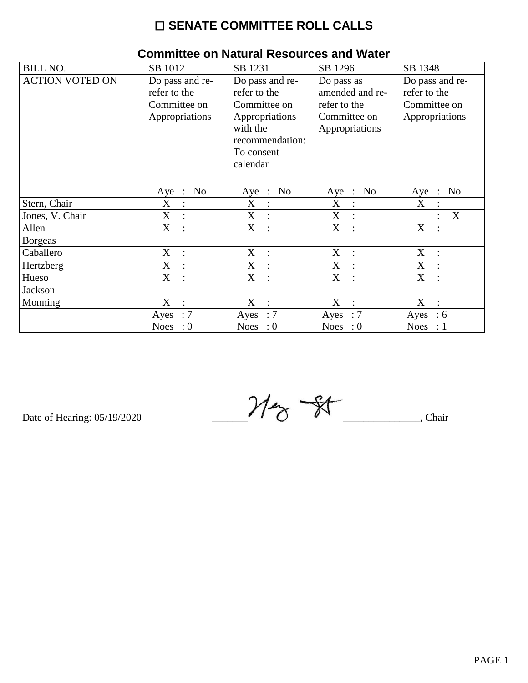## $\square$  SENATE COMMITTEE ROLL CALLS

| <b>BILL NO.</b>        | SB 1012                                         | SB 1231                               | SB 1296                                         | SB 1348                               |
|------------------------|-------------------------------------------------|---------------------------------------|-------------------------------------------------|---------------------------------------|
| <b>ACTION VOTED ON</b> | Do pass and re-                                 | Do pass and re-                       | Do pass as                                      | Do pass and re-                       |
|                        | refer to the                                    | refer to the                          | amended and re-                                 | refer to the                          |
|                        | Committee on                                    | Committee on                          | refer to the                                    | Committee on                          |
|                        | Appropriations                                  | Appropriations                        | Committee on                                    | Appropriations                        |
|                        |                                                 | with the                              | Appropriations                                  |                                       |
|                        |                                                 | recommendation:                       |                                                 |                                       |
|                        |                                                 | To consent                            |                                                 |                                       |
|                        |                                                 | calendar                              |                                                 |                                       |
|                        |                                                 |                                       |                                                 |                                       |
|                        | N <sub>o</sub><br>Aye<br>$\ddot{\phantom{1}}$ : | N <sub>o</sub><br>Aye<br>$\therefore$ | N <sub>0</sub><br>Aye<br>$\ddot{\phantom{1}}$ : | N <sub>o</sub><br>Aye<br>$\mathbb{R}$ |
| Stern, Chair           | X<br>$\ddot{\cdot}$                             | X                                     | X<br>$\ddot{\cdot}$                             | X                                     |
| Jones, V. Chair        | X<br>$\ddot{\phantom{a}}$                       | X<br>$\ddot{\cdot}$                   | X<br>$\ddot{\cdot}$                             | X                                     |
| Allen                  | X<br>$\ddot{\phantom{a}}$                       | X<br>$\cdot$                          | X<br>$\ddot{\cdot}$                             | X<br>$\bullet$                        |
| <b>Borgeas</b>         |                                                 |                                       |                                                 |                                       |
| Caballero              | X<br>$\cdot$ :                                  | X<br>$\mathbb{R}^2$                   | X<br>$\ddot{\cdot}$                             | X                                     |
| Hertzberg              | X<br>$\cdot$ :                                  | X<br>$\cdot$                          | X<br>$\ddot{\cdot}$                             | X<br>$\overline{\cdot}$               |
| Hueso                  | X<br>$\ddot{\cdot}$                             | X<br>$\ddot{\cdot}$                   | X<br>$\ddot{\cdot}$                             | X                                     |
| Jackson                |                                                 |                                       |                                                 |                                       |
| Monning                | X<br>$\ddot{\phantom{a}}$                       | X<br>$\ddot{\cdot}$                   | X<br>$\ddot{\cdot}$                             | X<br>$\ddot{\cdot}$                   |
|                        | :7<br>Ayes                                      | $\therefore 7$<br>Ayes                | $\therefore 7$<br>Ayes                          | Ayes<br>$\therefore$ 6                |
|                        | Noes : $0$                                      | Noes : $0$                            | Noes : $0$                                      | Noes : $1$                            |

## **Committee on Natural Resources and Water**

Date of Hearing: 05/19/2020

 $M_{\odot}$   $\frac{2}{\pi}$  Chair